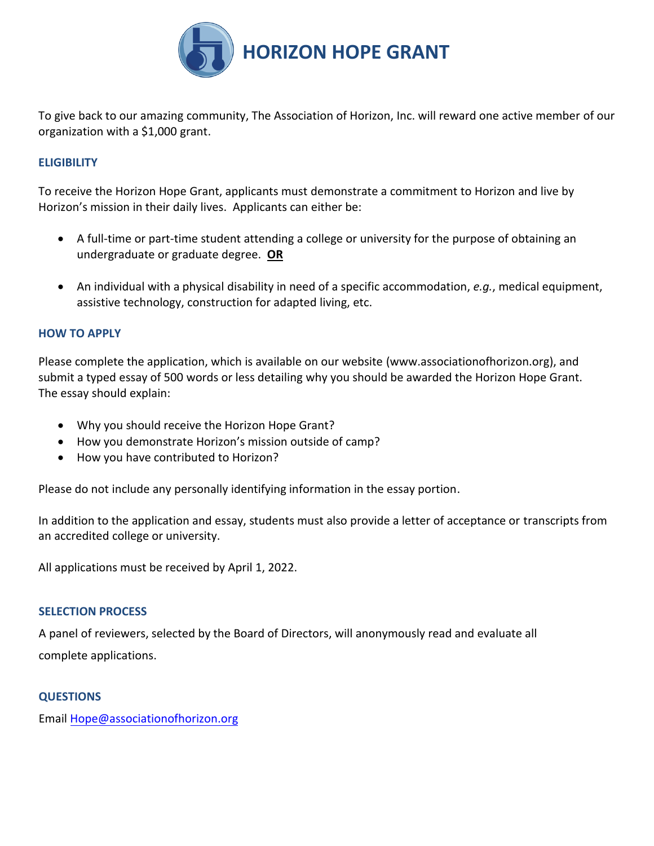

To give back to our amazing community, The Association of Horizon, Inc. will reward one active member of our organization with a \$1,000 grant.

## **ELIGIBILITY**

To receive the Horizon Hope Grant, applicants must demonstrate a commitment to Horizon and live by Horizon's mission in their daily lives. Applicants can either be:

- A full-time or part-time student attending a college or university for the purpose of obtaining an undergraduate or graduate degree. **OR**
- An individual with a physical disability in need of a specific accommodation, *e.g.*, medical equipment, assistive technology, construction for adapted living, etc.

### **HOW TO APPLY**

Please complete the application, which is available on our website (www.associationofhorizon.org), and submit a typed essay of 500 words or less detailing why you should be awarded the Horizon Hope Grant. The essay should explain:

- Why you should receive the Horizon Hope Grant?
- How you demonstrate Horizon's mission outside of camp?
- How you have contributed to Horizon?

Please do not include any personally identifying information in the essay portion.

In addition to the application and essay, students must also provide a letter of acceptance or transcripts from an accredited college or university.

All applications must be received by April 1, 2022.

## **SELECTION PROCESS**

A panel of reviewers, selected by the Board of Directors, will anonymously read and evaluate all complete applications.

#### **QUESTIONS**

Email Hope@associationofhorizon.org